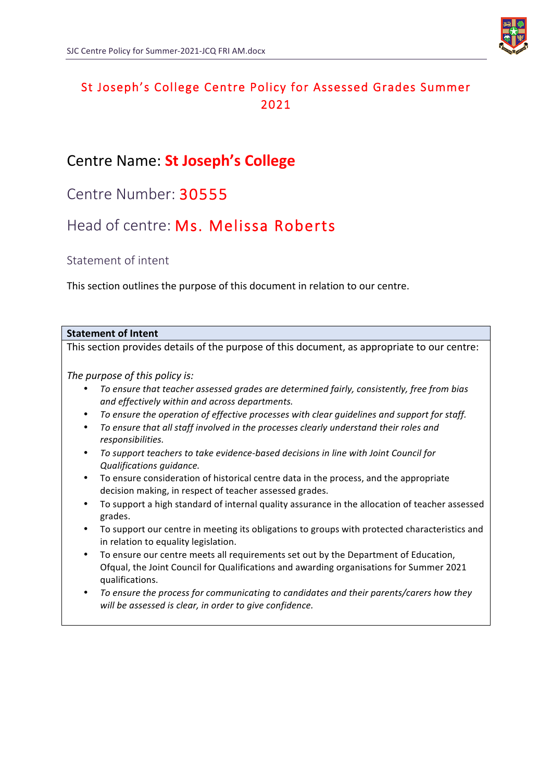

# St Joseph's College Centre Policy for Assessed Grades Summer 2021

# Centre Name: **St Joseph's College**

Centre Number: 30555

# Head of centre: Ms. Melissa Roberts

Statement of intent

This section outlines the purpose of this document in relation to our centre.

## **Statement of Intent** This section provides details of the purpose of this document, as appropriate to our centre: *The purpose of this policy is:* To ensure that teacher assessed grades are determined fairly, consistently, free from bias *and effectively within and across departments.* • To ensure the operation of effective processes with clear quidelines and support for staff. • To ensure that all staff involved in the processes clearly understand their roles and *responsibilities.* To support teachers to take evidence-based decisions in line with Joint Council for *Qualifications guidance.* • To ensure consideration of historical centre data in the process, and the appropriate decision making, in respect of teacher assessed grades. To support a high standard of internal quality assurance in the allocation of teacher assessed grades. • To support our centre in meeting its obligations to groups with protected characteristics and in relation to equality legislation. To ensure our centre meets all requirements set out by the Department of Education, Ofqual, the Joint Council for Qualifications and awarding organisations for Summer 2021 qualifications. To ensure the process for communicating to candidates and their parents/carers how they will be assessed is clear, in order to give confidence.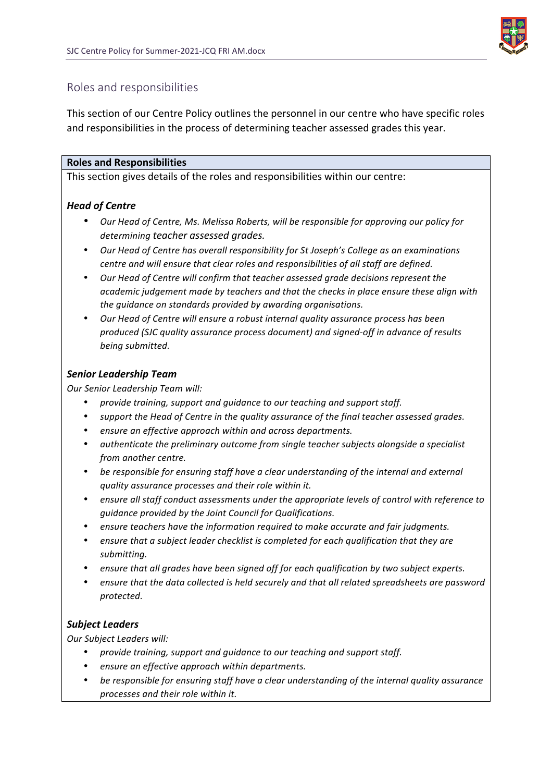

### Roles and responsibilities

This section of our Centre Policy outlines the personnel in our centre who have specific roles and responsibilities in the process of determining teacher assessed grades this year.

### **Roles and Responsibilities**

This section gives details of the roles and responsibilities within our centre:

### *Head of Centre*

- *Our Head of Centre, Ms. Melissa Roberts, will be responsible for approving our policy for determining teacher assessed grades.*
- *Our Head of Centre has overall responsibility for St Joseph's College as an examinations centre and will ensure that clear roles and responsibilities of all staff are defined.*
- Our Head of Centre will confirm that teacher assessed grade decisions represent the *academic judgement made by teachers and that the checks in place ensure these align with the quidance on standards provided by awarding organisations.*
- Our Head of Centre will ensure a robust internal quality assurance process has been *produced (SJC quality assurance process document) and signed-off in advance of results being submitted.*

### *Senior Leadership Team*

*Our Senior Leadership Team will:*

- *provide training, support and guidance to our teaching and support staff.*
- support the Head of Centre in the quality assurance of the final teacher assessed grades.
- *ensure an effective approach within and across departments.*
- authenticate the preliminary outcome from single teacher subjects alongside a specialist *from another centre.*
- be responsible for ensuring staff have a clear understanding of the internal and external *quality assurance processes and their role within it.*
- ensure all staff conduct assessments under the appropriate levels of control with reference to *guidance provided by the Joint Council for Qualifications.*
- ensure teachers have the information required to make accurate and fair judgments.
- ensure that a subject leader checklist is completed for each qualification that they are *submitting.*
- ensure that all grades have been signed off for each qualification by two subject experts.
- ensure that the data collected is held securely and that all related spreadsheets are password *protected.*

### *Subject Leaders*

*Our Subject Leaders will:*

- provide training, support and guidance to our teaching and support staff.
- ensure an effective approach within departments.
- be responsible for ensuring staff have a clear understanding of the internal quality assurance *processes and their role within it.*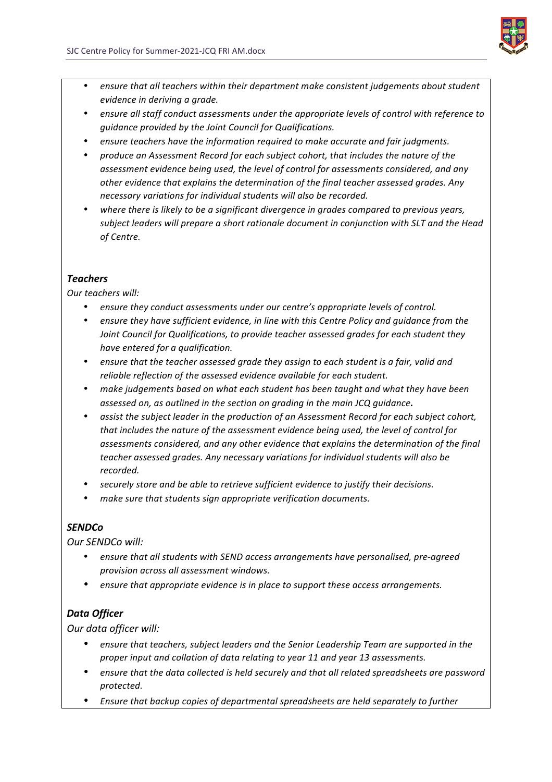

- ensure that all teachers within their department make consistent judgements about student *evidence in deriving a grade.*
- ensure all staff conduct assessments under the appropriate levels of control with reference to *guidance provided by the Joint Council for Qualifications.*
- ensure teachers have the information required to make accurate and fair judgments.
- *produce an Assessment Record for each subject cohort, that includes the nature of the*  assessment evidence being used, the level of control for assessments considered, and any other evidence that explains the determination of the final teacher assessed grades. Any necessary variations for individual students will also be recorded.
- where there is likely to be a significant divergence in arades compared to previous years, subject leaders will prepare a short rationale document in conjunction with SLT and the Head *of Centre.*

### *Teachers*

*Our teachers will:*

- ensure they conduct assessments under our centre's appropriate levels of control.
- *ensure they have sufficient evidence, in line with this Centre Policy and guidance from the Joint Council for Qualifications, to provide teacher assessed grades for each student they have entered for a qualification.*
- ensure that the teacher assessed arade they assign to each student is a fair, valid and *reliable reflection of the assessed evidence available for each student.*
- make judgements based on what each student has been taught and what they have been *assessed on, as outlined in the section on grading in the main JCQ guidance.*
- *assist the subject leader in the production of an Assessment Record for each subject cohort,* that includes the nature of the assessment evidence being used, the level of control for assessments considered, and any other evidence that explains the determination of the final teacher assessed grades. Any necessary variations for individual students will also be recorded.
- *securely store and be able to retrieve sufficient evidence to justify their decisions.*
- make sure that students sign appropriate verification documents.

### *SENDCo*

*Our SENDCo will:*

- ensure that all students with SEND access arrangements have personalised, pre-agreed *provision across all assessment windows.*
- ensure that appropriate evidence is in place to support these access arrangements.

### *Data Officer*

*Our data officer will:*

- ensure that teachers, subject leaders and the Senior Leadership Team are supported in the proper input and collation of data relating to year 11 and year 13 assessments.
- ensure that the data collected is held securely and that all related spreadsheets are password *protected.*
- *Ensure that backup copies of departmental spreadsheets are held separately to further*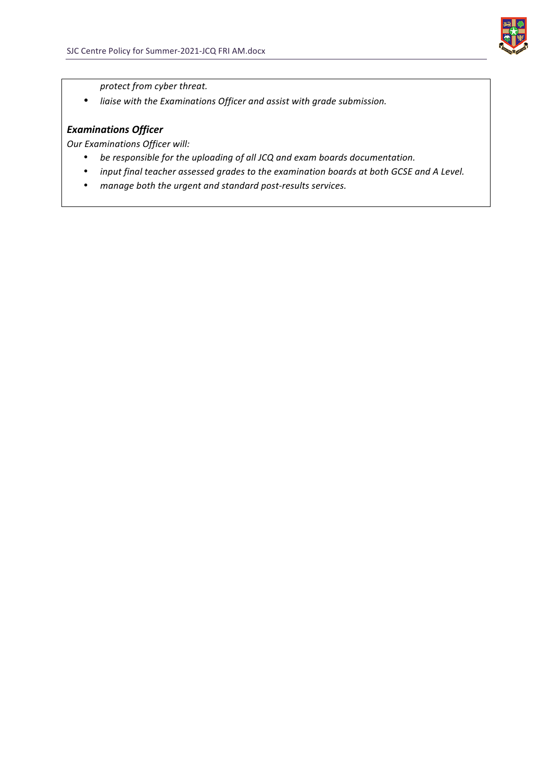

*protect from cyber threat.*

• liaise with the Examinations Officer and assist with grade submission.

### *Examinations Officer*

**Our Examinations Officer will:** 

- be responsible for the uploading of all JCQ and exam boards documentation.
- *input final teacher assessed grades to the examination boards at both GCSE and A Level.*
- manage both the urgent and standard post-results services.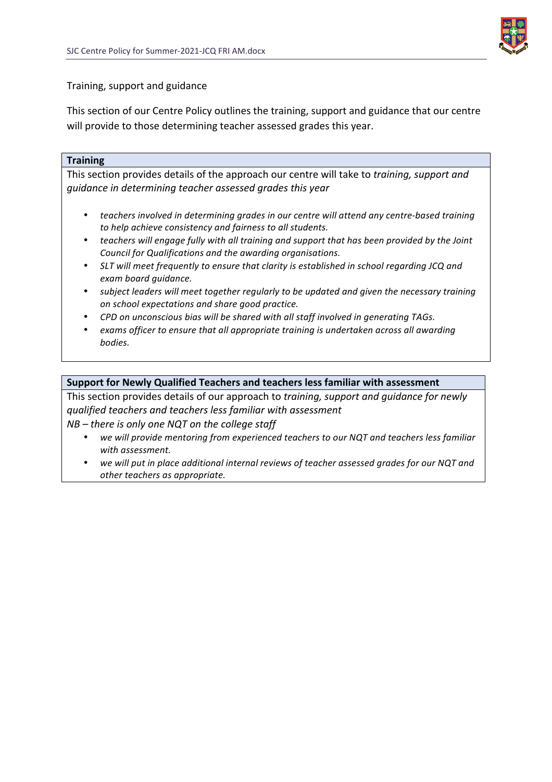

### Training, support and guidance

This section of our Centre Policy outlines the training, support and guidance that our centre will provide to those determining teacher assessed grades this year.

#### **Training**

This section provides details of the approach our centre will take to *training, support and guidance in determining teacher assessed grades this year*

- teachers involved in determining grades in our centre will attend any centre-based training to help achieve consistency and fairness to all students.
- teachers will engage fully with all training and support that has been provided by the Joint *Council for Qualifications and the awarding organisations.*
- SLT will meet frequently to ensure that clarity is established in school regarding JCQ and *exam board guidance.*
- subject leaders will meet together regularly to be updated and given the necessary training *on school expectations and share good practice.*
- CPD on unconscious bias will be shared with all staff involved in generating TAGs.
- exams officer to ensure that all appropriate training is undertaken across all awarding *bodies.*

#### **Support for Newly Qualified Teachers and teachers less familiar with assessment**

This section provides details of our approach to *training, support and quidance for newly qualified teachers and teachers less familiar with assessment*

*NB* – there is only one NQT on the college staff

- we will provide mentoring from experienced teachers to our NQT and teachers less familiar *with assessment.*
- we will put in place additional internal reviews of teacher assessed grades for our NQT and *other teachers as appropriate.*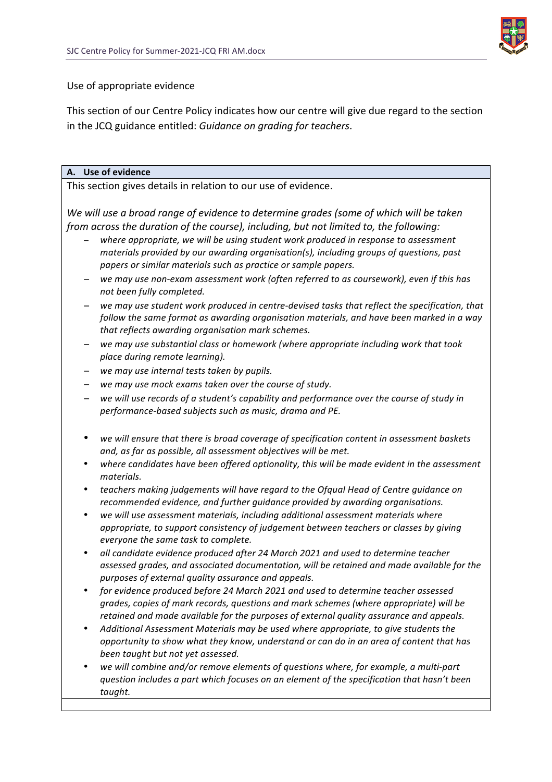

### Use of appropriate evidence

This section of our Centre Policy indicates how our centre will give due regard to the section in the JCQ guidance entitled: *Guidance on grading for teachers*.

### **A. Use of evidence**

This section gives details in relation to our use of evidence.

We will use a broad range of evidence to determine grades (some of which will be taken *from across the duration of the course), including, but not limited to, the following:* 

- where appropriate, we will be using student work produced in response to assessment materials provided by our awarding organisation(s), including groups of questions, past *papers or similar materials such as practice or sample papers.*
- $−$  we may use non-exam assessment work (often referred to as coursework), even if this has *not been fully completed.*
- $−$  we may use student work produced in centre-devised tasks that reflect the specification, that follow the same format as awarding organisation materials, and have been marked in a way that reflects awarding organisation mark schemes.
- $−$  we may use substantial class or homework (where appropriate including work that took *place during remote learning).*
- − *we may use internal tests taken by pupils.*
- − *we may use mock exams taken over the course of study.*
- $−$  we will use records of a student's capability and performance over the course of study in *performance-based subjects such as music, drama and PE.*
- we will ensure that there is broad coverage of specification content in assessment baskets *and, as far as possible, all assessment objectives will be met.*
- where candidates have been offered optionality, this will be made evident in the assessment *materials.*
- *teachers making judgements will have regard to the Ofqual Head of Centre guidance on recommended evidence, and further guidance provided by awarding organisations.*
- we will use assessment materials, including additional assessment materials where *appropriate, to support consistency of judgement between teachers or classes by giving everyone the same task to complete.*
- all candidate evidence produced after 24 March 2021 and used to determine teacher assessed grades, and associated documentation, will be retained and made available for the *purposes of external quality assurance and appeals.*
- for evidence produced before 24 March 2021 and used to determine teacher assessed *grades, copies of mark records, questions and mark schemes (where appropriate) will be*  retained and made available for the purposes of external quality assurance and appeals.
- Additional Assessment Materials may be used where appropriate, to give students the *opportunity* to show what they know, understand or can do in an area of content that has been taught but not yet assessed.
- we will combine and/or remove elements of questions where, for example, a multi-part *question includes a part which focuses on an element of the specification that hasn't been taught.*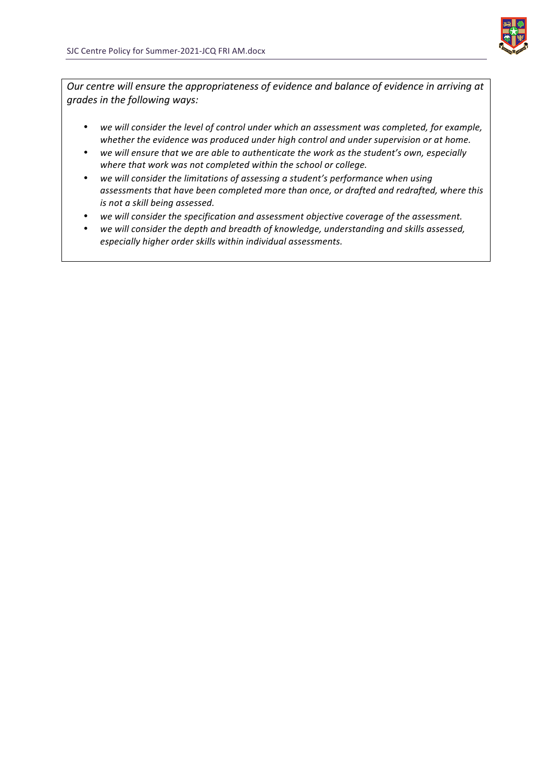

*Our* centre will ensure the appropriateness of evidence and balance of evidence in arriving at *grades in the following ways:*

- we will consider the level of control under which an assessment was completed, for example, whether the evidence was produced under high control and under supervision or at home.
- we will ensure that we are able to authenticate the work as the student's own, especially where that work was not completed within the school or college.
- we will consider the limitations of assessing a student's performance when using assessments that have been completed more than once, or drafted and redrafted, where this *is not a skill being assessed.*
- we will consider the specification and assessment objective coverage of the assessment.
- we will consider the depth and breadth of knowledge, understanding and skills assessed, *especially higher order skills within individual assessments.*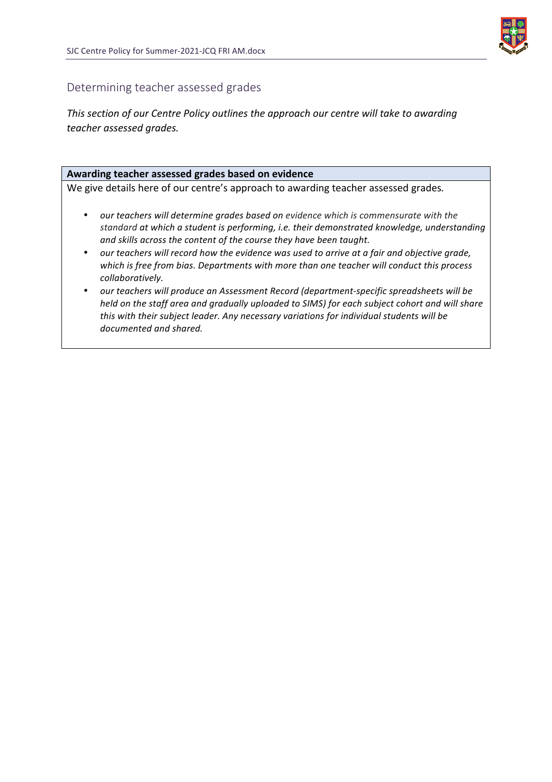

### Determining teacher assessed grades

*This section of our Centre Policy outlines the approach our centre will take to awarding teacher assessed grades.*

### Awarding teacher assessed grades based on evidence

We give details here of our centre's approach to awarding teacher assessed grades.

- our teachers will determine grades based on evidence which is commensurate with the standard at which a student is performing, *i.e.* their demonstrated knowledge, understanding and skills across the content of the course they have been taught.
- our teachers will record how the evidence was used to arrive at a fair and objective grade, which is free from bias. Departments with more than one teacher will conduct this process *collaboratively.*
- our teachers will produce an Assessment Record (department-specific spreadsheets will be *held* on the staff area and gradually uploaded to SIMS) for each subject cohort and will share this with their subject leader. Any necessary variations for individual students will be *documented and shared.*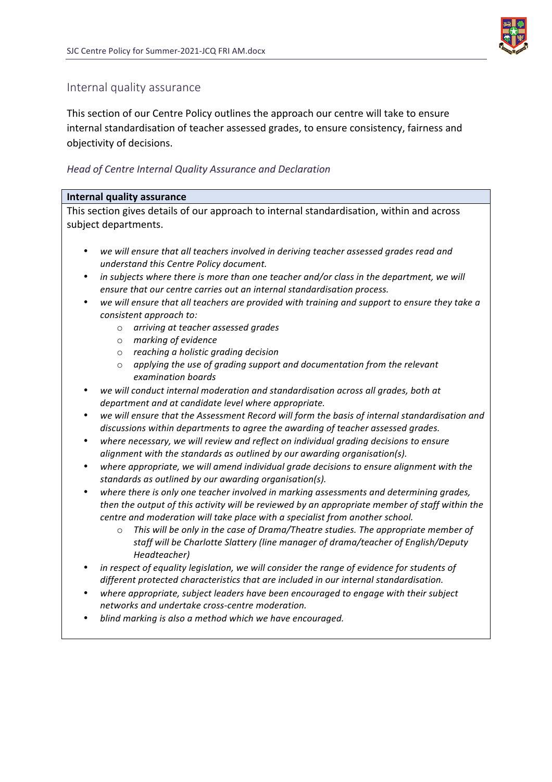

### Internal quality assurance

This section of our Centre Policy outlines the approach our centre will take to ensure internal standardisation of teacher assessed grades, to ensure consistency, fairness and objectivity of decisions.

### *Head of Centre Internal Quality Assurance and Declaration*

#### **Internal quality assurance**

This section gives details of our approach to internal standardisation, within and across subject departments.

- we will ensure that all teachers involved in deriving teacher assessed grades read and *understand this Centre Policy document.*
- in subjects where there is more than one teacher and/or class in the department, we will *ensure that our centre carries out an internal standardisation process.*
- we will ensure that all teachers are provided with training and support to ensure they take a *consistent approach to:*
	- o *arriving at teacher assessed grades*
	- o *marking of evidence*
	- o *reaching a holistic grading decision*
	- o *applying the use of grading support and documentation from the relevant examination boards*
- *we will conduct internal moderation and standardisation across all grades, both at department and at candidate level where appropriate.*
- we will ensure that the Assessment Record will form the basis of internal standardisation and discussions within departments to agree the awarding of teacher assessed grades.
- where necessary, we will review and reflect on individual grading decisions to ensure *alignment with the standards as outlined by our awarding organisation(s).*
- where appropriate, we will amend individual grade decisions to ensure alignment with the *standards as outlined by our awarding organisation(s).*
- where there is only one teacher involved in marking assessments and determining grades, *then* the output of this activity will be reviewed by an appropriate member of staff within the *centre and moderation will take place with a specialist from another school.* 
	- $\circ$  This will be only in the case of Drama/Theatre studies. The appropriate member of staff will be Charlotte Slattery (line manager of drama/teacher of English/Deputy *Headteacher)*
- in respect of equality legislation, we will consider the range of evidence for students of *different protected characteristics that are included in our internal standardisation.*
- where appropriate, subject leaders have been encouraged to engage with their subject *networks and undertake cross-centre moderation.*
- blind marking is also a method which we have encouraged.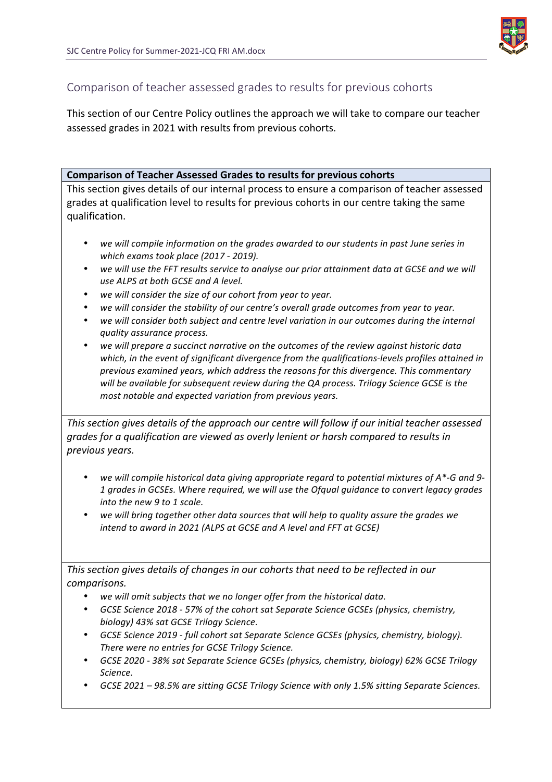

## Comparison of teacher assessed grades to results for previous cohorts

This section of our Centre Policy outlines the approach we will take to compare our teacher assessed grades in 2021 with results from previous cohorts.

### **Comparison of Teacher Assessed Grades to results for previous cohorts**

This section gives details of our internal process to ensure a comparison of teacher assessed grades at qualification level to results for previous cohorts in our centre taking the same qualification.

- we will compile information on the grades awarded to our students in past June series in *which exams took place (2017 - 2019).*
- we will use the FFT results service to analyse our prior attainment data at GCSE and we will *use ALPS at both GCSE and A level.*
- we will consider the size of our cohort from year to year.
- we will consider the stability of our centre's overall grade outcomes from year to year.
- we will consider both subject and centre level variation in our outcomes during the internal *quality assurance process.*
- we will prepare a succinct narrative on the outcomes of the review against historic data which, in the event of significant divergence from the qualifications-levels profiles attained in *previous examined years, which address the reasons for this divergence. This commentary*  will be available for subsequent review during the QA process. Trilogy Science GCSE is the *most notable and expected variation from previous years.*

*This section gives details of the approach our centre will follow if our initial teacher assessed grades for a qualification are viewed as overly lenient or harsh compared to results in previous years.*

- we will compile historical data giving appropriate regard to potential mixtures of A\*-G and 9-*1 grades in GCSEs. Where required, we will use the Ofqual guidance to convert legacy grades into the new 9 to 1 scale.*
- we will bring together other data sources that will help to quality assure the grades we *intend to award in 2021 (ALPS at GCSE and A level and FFT at GCSE)*

This section gives details of changes in our cohorts that need to be reflected in our *comparisons.* 

- we will omit subjects that we no longer offer from the historical data.
- *GCSE Science 2018 57% of the cohort sat Separate Science GCSEs (physics, chemistry, biology) 43% sat GCSE Trilogy Science.*
- GCSE Science 2019  *full cohort sat Separate Science GCSEs (physics, chemistry, biology).* There were no entries for GCSE Trilogy Science.
- *GCSE 2020 38% sat Separate Science GCSEs (physics, chemistry, biology) 62% GCSE Trilogy Science.*
- *GCSE 2021* 98.5% are sitting GCSE Trilogy Science with only 1.5% sitting Separate Sciences.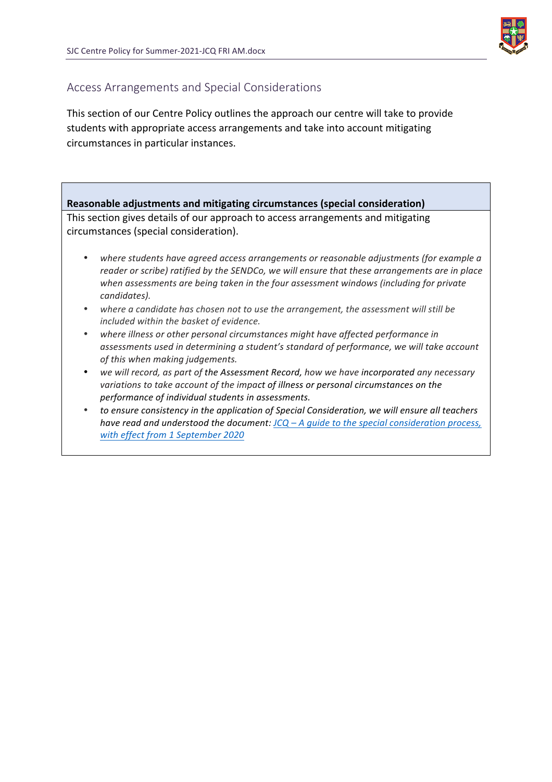

# Access Arrangements and Special Considerations

This section of our Centre Policy outlines the approach our centre will take to provide students with appropriate access arrangements and take into account mitigating circumstances in particular instances.

**Reasonable adjustments and mitigating circumstances (special consideration)** This section gives details of our approach to access arrangements and mitigating circumstances (special consideration). where students have agreed access arrangements or reasonable adjustments (for example a *reader* or scribe) ratified by the SENDCo, we will ensure that these arrangements are in place when assessments are being taken in the four assessment windows (including for private *candidates).* where a candidate has chosen not to use the arrangement, the assessment will still be *included within the basket of evidence.* 

- where illness or other personal circumstances might have affected performance in assessments used in determining a student's standard of performance, we will take account *of this when making judgements.*
- we will record, as part of the Assessment Record, how we have incorporated any necessary *variations to take account of the impact of illness or personal circumstances on the* performance of individual students in assessments.
- to ensure consistency in the application of Special Consideration, we will ensure all teachers *have read and understood the document: JCQ – A guide to the special consideration process, with effect from 1 September 2020*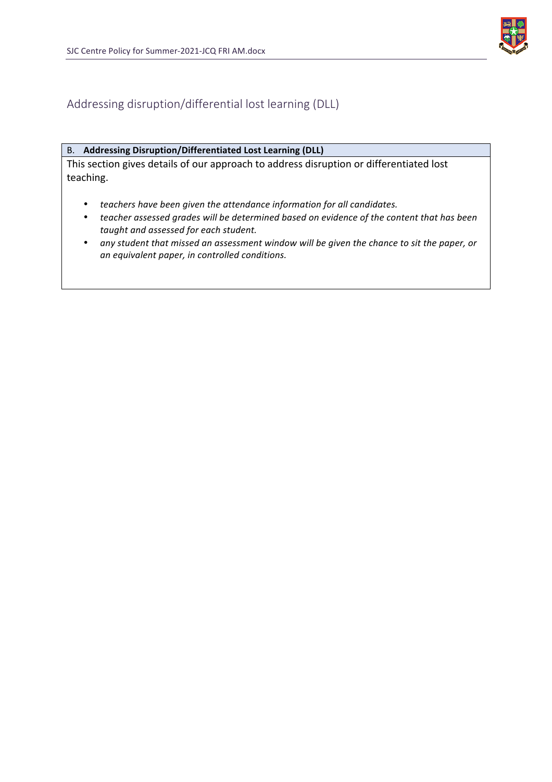

Addressing disruption/differential lost learning (DLL)

#### B. **Addressing Disruption/Differentiated Lost Learning (DLL)**

This section gives details of our approach to address disruption or differentiated lost teaching.

- teachers have been given the attendance information for all candidates.
- teacher assessed grades will be determined based on evidence of the content that has been taught and assessed for each student.
- any student that missed an assessment window will be given the chance to sit the paper, or *an equivalent paper, in controlled conditions.*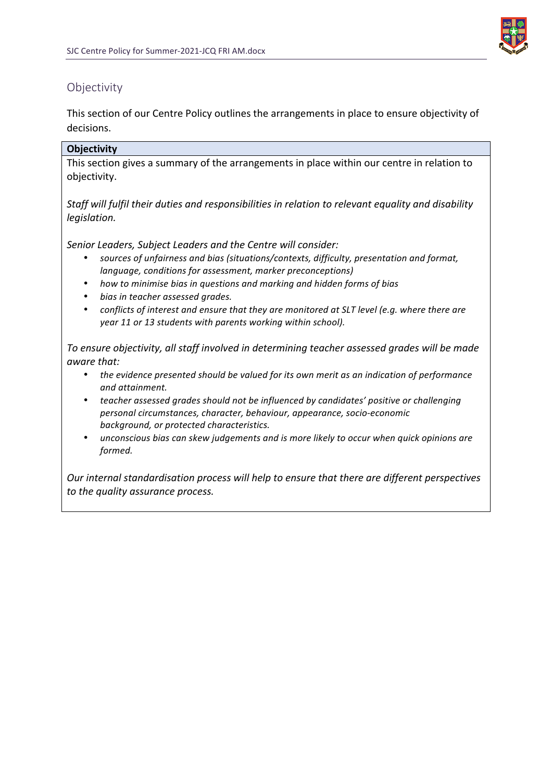

# **Objectivity**

This section of our Centre Policy outlines the arrangements in place to ensure objectivity of decisions.

### **Objectivity**

This section gives a summary of the arrangements in place within our centre in relation to objectivity.

Staff will fulfil their duties and responsibilities in relation to relevant equality and disability *legislation.*

Senior Leaders, Subject Leaders and the Centre will consider:

- sources of unfairness and bias (situations/contexts, difficulty, presentation and format, *language, conditions for assessment, marker preconceptions)*
- *how to minimise bias in questions and marking and hidden forms of bias*
- *bias in teacher assessed grades.*
- *conflicts of interest and ensure that they are monitored at SLT level (e.g. where there are year* 11 or 13 *students* with parents working within school).

To ensure objectivity, all staff involved in determining teacher assessed grades will be made *aware that:*

- the evidence presented should be valued for its own merit as an indication of performance *and attainment.*
- *teacher assessed grades should not be influenced by candidates' positive or challenging personal circumstances, character, behaviour, appearance, socio-economic background, or protected characteristics.*
- unconscious bias can skew judgements and is more likely to occur when quick opinions are *formed.*

*Our internal standardisation process will help to ensure that there are different perspectives* to the quality assurance process.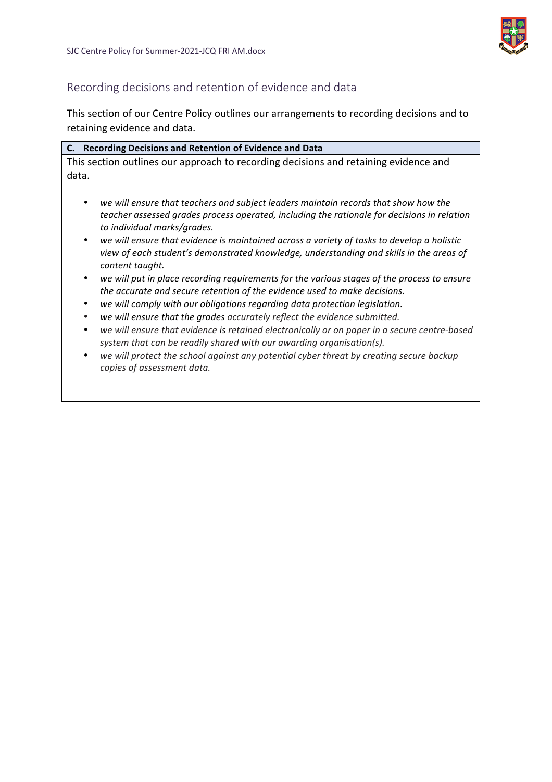

# Recording decisions and retention of evidence and data

This section of our Centre Policy outlines our arrangements to recording decisions and to retaining evidence and data.

| C. Recording Decisions and Retention of Evidence and Data                                                                                                                                                             |
|-----------------------------------------------------------------------------------------------------------------------------------------------------------------------------------------------------------------------|
| This section outlines our approach to recording decisions and retaining evidence and                                                                                                                                  |
| data.                                                                                                                                                                                                                 |
|                                                                                                                                                                                                                       |
| we will ensure that teachers and subject leaders maintain records that show how the<br>٠<br>teacher assessed grades process operated, including the rationale for decisions in relation                               |
| to individual marks/grades.                                                                                                                                                                                           |
| we will ensure that evidence is maintained across a variety of tasks to develop a holistic<br>$\bullet$<br>view of each student's demonstrated knowledge, understanding and skills in the areas of<br>content taught. |
| we will put in place recording requirements for the various stages of the process to ensure<br>$\bullet$<br>the accurate and secure retention of the evidence used to make decisions.                                 |
| we will comply with our obligations regarding data protection legislation.<br>٠                                                                                                                                       |
| we will ensure that the grades accurately reflect the evidence submitted.<br>٠                                                                                                                                        |
| we will ensure that evidence is retained electronically or on paper in a secure centre-based<br>٠<br>system that can be readily shared with our awarding organisation(s).                                             |
| we will protect the school against any potential cyber threat by creating secure backup<br>٠<br>copies of assessment data.                                                                                            |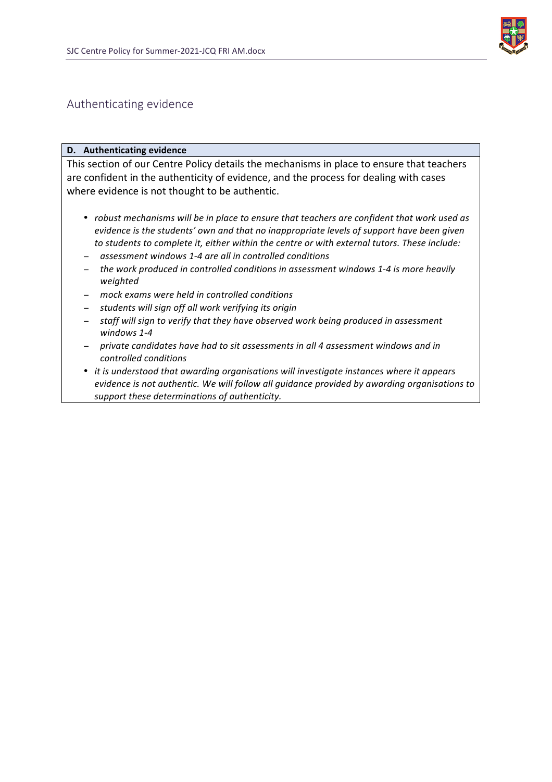

### Authenticating evidence

#### **D.** Authenticating evidence

This section of our Centre Policy details the mechanisms in place to ensure that teachers are confident in the authenticity of evidence, and the process for dealing with cases where evidence is not thought to be authentic.

- *robust mechanisms will be in place to ensure that teachers are confident that work used as evidence is the students'* own and that no inappropriate levels of support have been given to students to complete it, either within the centre or with external tutors. These include:
- − *assessment windows 1-4 are all in controlled conditions*
- − the work produced in controlled conditions in assessment windows 1-4 is more heavily *weighted*
- − *mock exams were held in controlled conditions*
- − *students will sign off all work verifying its origin*
- − staff will sign to verify that they have observed work being produced in assessment *windows 1-4*
- $−$  *private candidates have had to sit assessments in all 4 assessment windows and in controlled conditions*
- *it is understood that awarding organisations will investigate instances where it appears evidence is not authentic. We will follow all quidance provided by awarding organisations to support these determinations of authenticity.*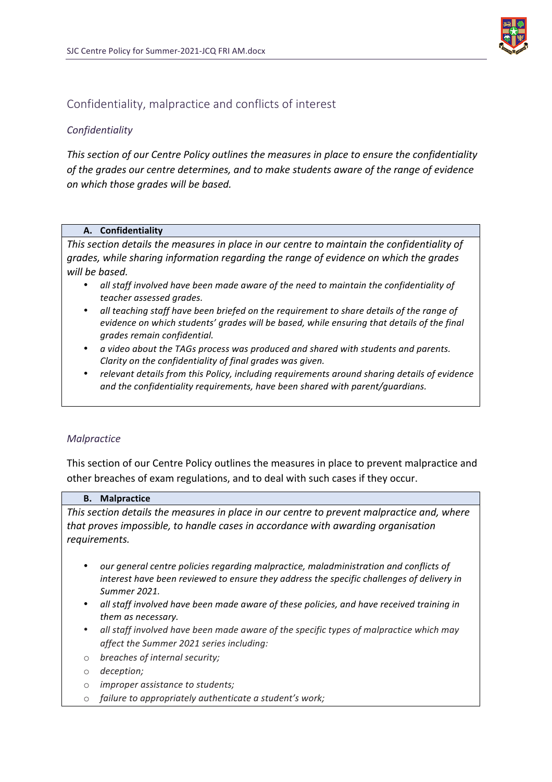

# Confidentiality, malpractice and conflicts of interest

### *Confidentiality*

*This section of our Centre Policy outlines the measures in place to ensure the confidentiality* of the grades our centre determines, and to make students aware of the range of evidence *on which those grades will be based.*

#### **A. Confidentiality**

This section details the measures in place in our centre to maintain the confidentiality of grades, while sharing information regarding the range of evidence on which the grades will be based.

- all staff involved have been made aware of the need to maintain the confidentiality of *teacher assessed grades.*
- all teaching staff have been briefed on the requirement to share details of the range of *evidence on which students' grades will be based, while ensuring that details of the final grades remain confidential.*
- *a* video about the TAGs process was produced and shared with students and parents. *Clarity* on the confidentiality of final grades was given.
- relevant details from this Policy, including requirements around sharing details of evidence and the confidentiality requirements, have been shared with parent/guardians.

### *Malpractice*

This section of our Centre Policy outlines the measures in place to prevent malpractice and other breaches of exam regulations, and to deal with such cases if they occur.

#### **B. Malpractice**

This section details the measures in place in our centre to prevent malpractice and, where *that proves impossible, to handle cases in accordance with awarding organisation requirements.*

- our general centre policies regarding malpractice, maladministration and conflicts of *interest have been reviewed to ensure they address the specific challenges of delivery in Summer 2021.*
- *all staff involved have been made aware of these policies, and have received training in them as necessary.*
- *all* staff involved have been made aware of the specific types of malpractice which may *affect the Summer 2021 series including:*
- o *breaches of internal security;*
- o *deception;*
- o *improper assistance to students;*
- o failure to appropriately authenticate a student's work;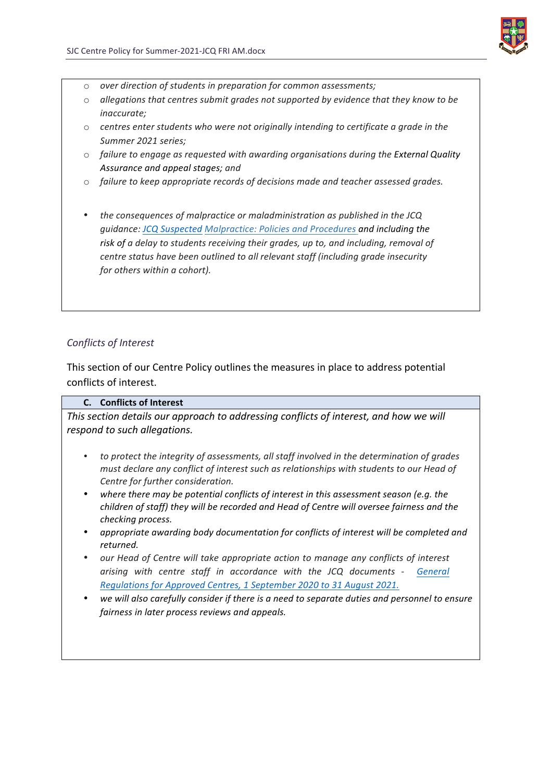

- o *over direction of students in preparation for common assessments;*
- $\circ$  allegations that centres submit grades not supported by evidence that they know to be *inaccurate;*
- $\circ$  centres enter students who were not originally intending to certificate a grade in the *Summer 2021 series;*
- $\circ$  *failure to engage as requested with awarding organisations during the External Quality Assurance and appeal stages; and*
- $\circ$  *failure to keep appropriate records of decisions made and teacher assessed grades.*
- the consequences of malpractice or maladministration as published in the JCQ *guidance: JCQ Suspected Malpractice: Policies and Procedures and including the*  risk of *a* delay to students receiving their grades, up to, and including, removal of *centre status have been outlined to all relevant staff (including grade insecurity* for others within a cohort).

### *Conflicts of Interest*

This section of our Centre Policy outlines the measures in place to address potential conflicts of interest.

### **C. Conflicts of Interest**

This section details our approach to addressing conflicts of interest, and how we will *respond to such allegations.* 

- to protect the integrity of assessments, all staff involved in the determination of grades *must declare any conflict of interest such as relationships with students to our Head of Centre for further consideration.*
- where there may be potential conflicts of interest in this assessment season (e.g. the *children of staff)* they will be recorded and Head of Centre will oversee fairness and the *checking process.*
- appropriate awarding body documentation for conflicts of interest will be completed and *returned.*
- our *Head of Centre will take appropriate action to manage any conflicts of interest arising with centre staff in accordance with the JCQ documents - General Regulations for Approved Centres, 1 September 2020 to 31 August 2021.*
- we will also carefully consider if there is a need to separate duties and personnel to ensure *fairness in later process reviews and appeals.*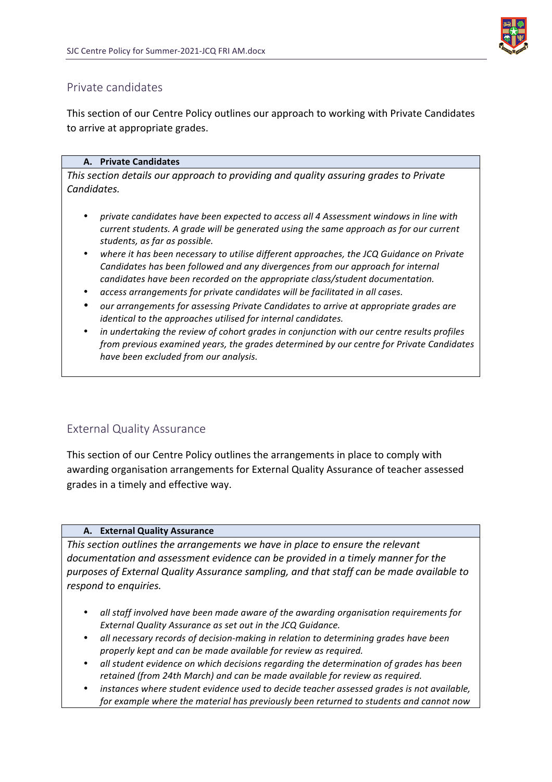

# Private candidates

This section of our Centre Policy outlines our approach to working with Private Candidates to arrive at appropriate grades.

### **A. Private Candidates**

*This section details our approach to providing and quality assuring grades to Private Candidates.* 

- *private candidates have been expected to access all 4 Assessment windows in line with current students.* A grade will be generated using the same approach as for our current *students, as far as possible.*
- where it has been necessary to utilise different approaches, the JCQ Guidance on Private *Candidates has been followed and any divergences from our approach for internal candidates have been recorded on the appropriate class/student documentation.*
- access arrangements for private candidates will be facilitated in all cases.
- our arrangements for assessing Private Candidates to arrive at appropriate grades are *identical to the approaches utilised for internal candidates.*
- *in undertaking the review of cohort grades in conjunction with our centre results profiles from previous examined years, the grades determined by our centre for Private Candidates have been excluded from our analysis.*

# External Quality Assurance

This section of our Centre Policy outlines the arrangements in place to comply with awarding organisation arrangements for External Quality Assurance of teacher assessed grades in a timely and effective way.

### **A. External Quality Assurance**

This section outlines the arrangements we have in place to ensure the relevant documentation and assessment evidence can be provided in a timely manner for the purposes of External Quality Assurance sampling, and that staff can be made available to *respond to enquiries.* 

- *all staff involved have been made aware of the awarding organisation requirements for*  **External Quality Assurance as set out in the JCQ Guidance.**
- *all necessary records of decision-making in relation to determining grades have been* properly kept and can be made available for review as required.
- *all student evidence on which decisions regarding the determination of grades has been*  retained (from 24th March) and can be made available for review as required.
- *instances where student evidence used to decide teacher assessed grades is not available, for example where the material has previously been returned to students and cannot now*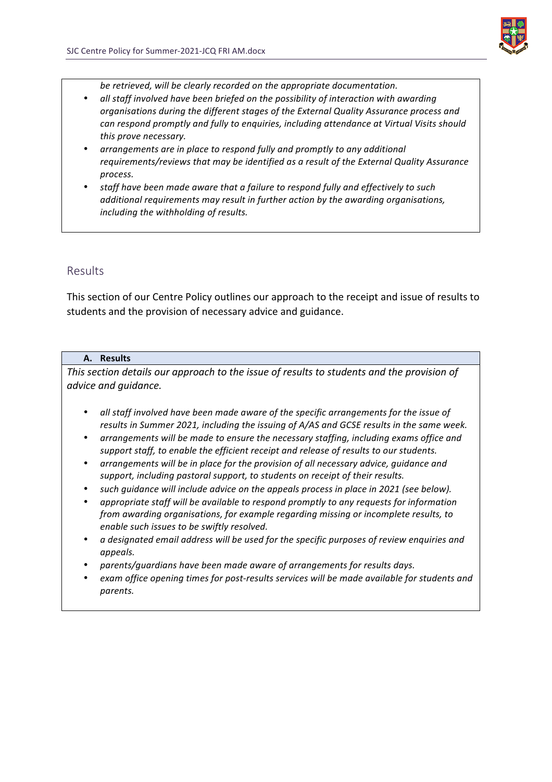

be retrieved, will be clearly recorded on the appropriate documentation.

- *all staff involved have been briefed on the possibility of interaction with awarding organisations during the different stages of the External Quality Assurance process and can respond promptly and fully to enquiries, including attendance at Virtual Visits should* this prove necessary.
- arrangements are in place to respond fully and promptly to any additional requirements/reviews that may be identified as a result of the External Quality Assurance *process.*
- staff have been made aware that a failure to respond fully and effectively to such additional requirements may result in further action by the awarding organisations, including the withholding of results.

### Results

This section of our Centre Policy outlines our approach to the receipt and issue of results to students and the provision of necessary advice and guidance.

#### **A. Results**

*This section details our approach to the issue of results to students and the provision of advice and guidance.*

- all staff involved have been made aware of the specific arrangements for the issue of *results in Summer 2021, including the issuing of A/AS and GCSE results in the same week.*
- *arrangements will be made to ensure the necessary staffing, including exams office and*  support staff, to enable the efficient receipt and release of results to our students.
- arrangements will be in place for the provision of all necessary advice, guidance and support, including pastoral support, to students on receipt of their results.
- such guidance will include advice on the appeals process in place in 2021 (see below).
- appropriate staff will be available to respond promptly to any requests for information *from awarding organisations, for example regarding missing or incomplete results, to enable such issues to be swiftly resolved.*
- a designated email address will be used for the specific purposes of review enquiries and *appeals.*
- parents/guardians have been made aware of arrangements for results days.
- exam office opening times for post-results services will be made available for students and *parents.*